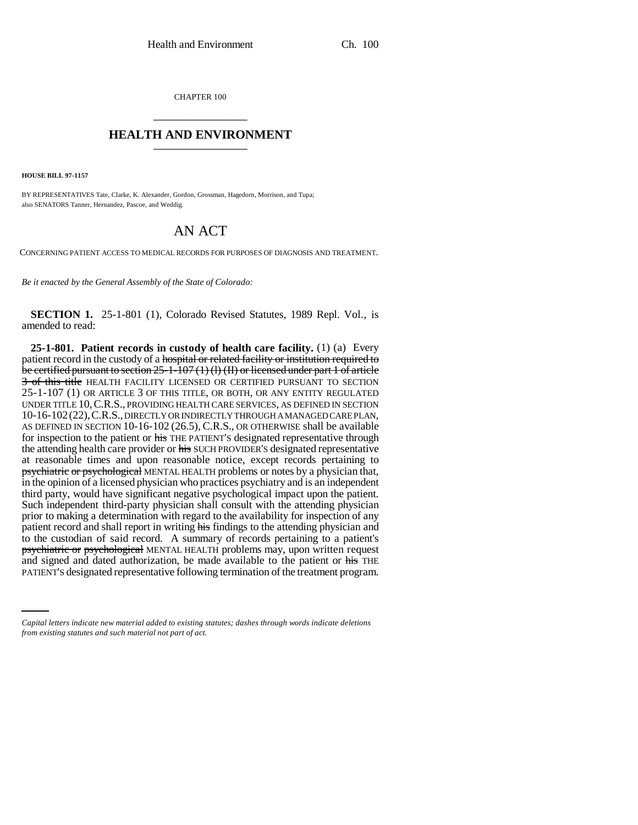CHAPTER 100 \_\_\_\_\_\_\_\_\_\_\_\_\_\_\_

## **HEALTH AND ENVIRONMENT** \_\_\_\_\_\_\_\_\_\_\_\_\_\_\_

**HOUSE BILL 97-1157**

BY REPRESENTATIVES Tate, Clarke, K. Alexander, Gordon, Grossman, Hagedorn, Morrison, and Tupa; also SENATORS Tanner, Hernandez, Pascoe, and Weddig.

## AN ACT

CONCERNING PATIENT ACCESS TO MEDICAL RECORDS FOR PURPOSES OF DIAGNOSIS AND TREATMENT.

*Be it enacted by the General Assembly of the State of Colorado:*

**SECTION 1.** 25-1-801 (1), Colorado Revised Statutes, 1989 Repl. Vol., is amended to read:

and signed and dated authorization, be made available to the patient or his THE **25-1-801. Patient records in custody of health care facility.** (1) (a) Every patient record in the custody of a hospital or related facility or institution required to be certified pursuant to section 25-1-107 (1) (l) (II) or licensed under part 1 of article 3 of this title HEALTH FACILITY LICENSED OR CERTIFIED PURSUANT TO SECTION 25-1-107 (1) OR ARTICLE 3 OF THIS TITLE, OR BOTH, OR ANY ENTITY REGULATED UNDER TITLE 10,C.R.S., PROVIDING HEALTH CARE SERVICES, AS DEFINED IN SECTION 10-16-102(22),C.R.S., DIRECTLY OR INDIRECTLY THROUGH A MANAGED CARE PLAN, AS DEFINED IN SECTION 10-16-102 (26.5), C.R.S., OR OTHERWISE shall be available for inspection to the patient or his THE PATIENT'S designated representative through the attending health care provider or his SUCH PROVIDER'S designated representative at reasonable times and upon reasonable notice, except records pertaining to psychiatric or psychological MENTAL HEALTH problems or notes by a physician that, in the opinion of a licensed physician who practices psychiatry and is an independent third party, would have significant negative psychological impact upon the patient. Such independent third-party physician shall consult with the attending physician prior to making a determination with regard to the availability for inspection of any patient record and shall report in writing his findings to the attending physician and to the custodian of said record. A summary of records pertaining to a patient's psychiatric or psychological MENTAL HEALTH problems may, upon written request PATIENT'S designated representative following termination of the treatment program.

*Capital letters indicate new material added to existing statutes; dashes through words indicate deletions from existing statutes and such material not part of act.*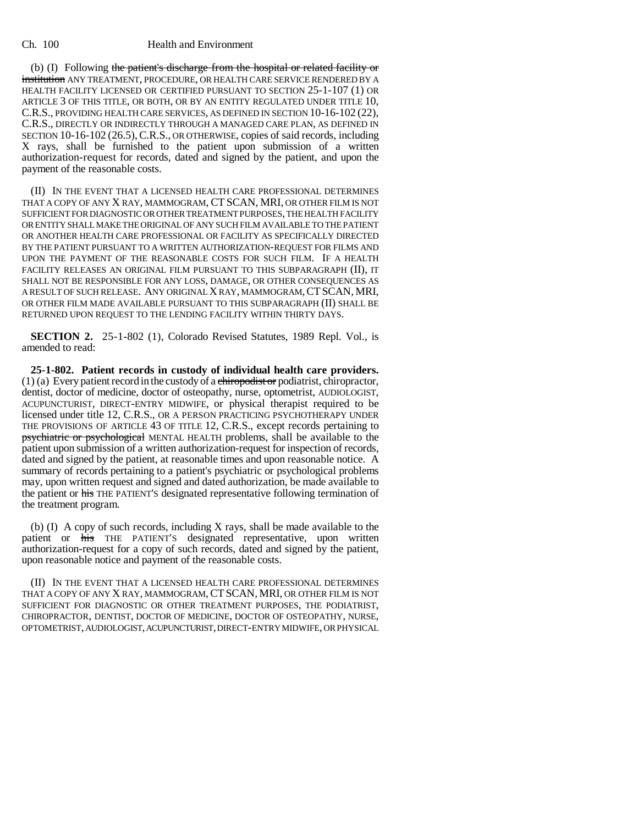## Ch. 100 Health and Environment

(b) (I) Following the patient's discharge from the hospital or related facility or institution ANY TREATMENT, PROCEDURE, OR HEALTH CARE SERVICE RENDERED BY A HEALTH FACILITY LICENSED OR CERTIFIED PURSUANT TO SECTION 25-1-107 (1) OR ARTICLE 3 OF THIS TITLE, OR BOTH, OR BY AN ENTITY REGULATED UNDER TITLE 10, C.R.S., PROVIDING HEALTH CARE SERVICES, AS DEFINED IN SECTION 10-16-102 (22), C.R.S., DIRECTLY OR INDIRECTLY THROUGH A MANAGED CARE PLAN, AS DEFINED IN SECTION 10-16-102 (26.5), C.R.S., OR OTHERWISE, copies of said records, including X rays, shall be furnished to the patient upon submission of a written authorization-request for records, dated and signed by the patient, and upon the payment of the reasonable costs.

(II) IN THE EVENT THAT A LICENSED HEALTH CARE PROFESSIONAL DETERMINES THAT A COPY OF ANY X RAY, MAMMOGRAM, CT SCAN, MRI, OR OTHER FILM IS NOT SUFFICIENT FOR DIAGNOSTIC OR OTHER TREATMENT PURPOSES, THE HEALTH FACILITY OR ENTITY SHALL MAKE THE ORIGINAL OF ANY SUCH FILM AVAILABLE TO THE PATIENT OR ANOTHER HEALTH CARE PROFESSIONAL OR FACILITY AS SPECIFICALLY DIRECTED BY THE PATIENT PURSUANT TO A WRITTEN AUTHORIZATION-REQUEST FOR FILMS AND UPON THE PAYMENT OF THE REASONABLE COSTS FOR SUCH FILM. IF A HEALTH FACILITY RELEASES AN ORIGINAL FILM PURSUANT TO THIS SUBPARAGRAPH (II), IT SHALL NOT BE RESPONSIBLE FOR ANY LOSS, DAMAGE, OR OTHER CONSEQUENCES AS A RESULT OF SUCH RELEASE. ANY ORIGINAL X RAY, MAMMOGRAM,CTSCAN, MRI, OR OTHER FILM MADE AVAILABLE PURSUANT TO THIS SUBPARAGRAPH (II) SHALL BE RETURNED UPON REQUEST TO THE LENDING FACILITY WITHIN THIRTY DAYS.

**SECTION 2.** 25-1-802 (1), Colorado Revised Statutes, 1989 Repl. Vol., is amended to read:

**25-1-802. Patient records in custody of individual health care providers.**  $(1)$  (a) Every patient record in the custody of a chiropodist or podiatrist, chiropractor, dentist, doctor of medicine, doctor of osteopathy, nurse, optometrist, AUDIOLOGIST, ACUPUNCTURIST, DIRECT-ENTRY MIDWIFE, or physical therapist required to be licensed under title 12, C.R.S., OR A PERSON PRACTICING PSYCHOTHERAPY UNDER THE PROVISIONS OF ARTICLE 43 OF TITLE 12, C.R.S., except records pertaining to psychiatric or psychological MENTAL HEALTH problems, shall be available to the patient upon submission of a written authorization-request for inspection of records, dated and signed by the patient, at reasonable times and upon reasonable notice. A summary of records pertaining to a patient's psychiatric or psychological problems may, upon written request and signed and dated authorization, be made available to the patient or his THE PATIENT'S designated representative following termination of the treatment program.

(b) (I) A copy of such records, including X rays, shall be made available to the patient or his THE PATIENT'S designated representative, upon written authorization-request for a copy of such records, dated and signed by the patient, upon reasonable notice and payment of the reasonable costs.

(II) IN THE EVENT THAT A LICENSED HEALTH CARE PROFESSIONAL DETERMINES THAT A COPY OF ANY X RAY, MAMMOGRAM, CT SCAN, MRI, OR OTHER FILM IS NOT SUFFICIENT FOR DIAGNOSTIC OR OTHER TREATMENT PURPOSES, THE PODIATRIST, CHIROPRACTOR, DENTIST, DOCTOR OF MEDICINE, DOCTOR OF OSTEOPATHY, NURSE, OPTOMETRIST, AUDIOLOGIST, ACUPUNCTURIST, DIRECT-ENTRY MIDWIFE, OR PHYSICAL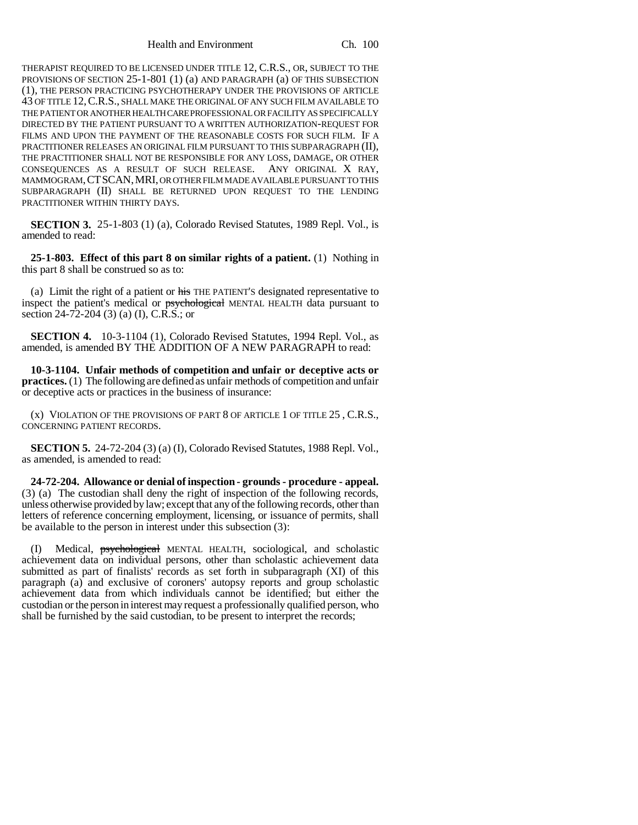Health and Environment Ch. 100

THERAPIST REQUIRED TO BE LICENSED UNDER TITLE 12, C.R.S., OR, SUBJECT TO THE PROVISIONS OF SECTION 25-1-801 (1) (a) AND PARAGRAPH (a) OF THIS SUBSECTION (1), THE PERSON PRACTICING PSYCHOTHERAPY UNDER THE PROVISIONS OF ARTICLE 43 OF TITLE 12,C.R.S., SHALL MAKE THE ORIGINAL OF ANY SUCH FILM AVAILABLE TO THE PATIENT OR ANOTHER HEALTH CARE PROFESSIONAL OR FACILITY AS SPECIFICALLY DIRECTED BY THE PATIENT PURSUANT TO A WRITTEN AUTHORIZATION-REQUEST FOR FILMS AND UPON THE PAYMENT OF THE REASONABLE COSTS FOR SUCH FILM. IF A PRACTITIONER RELEASES AN ORIGINAL FILM PURSUANT TO THIS SUBPARAGRAPH (II), THE PRACTITIONER SHALL NOT BE RESPONSIBLE FOR ANY LOSS, DAMAGE, OR OTHER CONSEQUENCES AS A RESULT OF SUCH RELEASE. ANY ORIGINAL X RAY, MAMMOGRAM,CTSCAN,MRI, OR OTHER FILM MADE AVAILABLE PURSUANT TO THIS SUBPARAGRAPH (II) SHALL BE RETURNED UPON REQUEST TO THE LENDING PRACTITIONER WITHIN THIRTY DAYS.

**SECTION 3.** 25-1-803 (1) (a), Colorado Revised Statutes, 1989 Repl. Vol., is amended to read:

**25-1-803. Effect of this part 8 on similar rights of a patient.** (1) Nothing in this part 8 shall be construed so as to:

(a) Limit the right of a patient or his THE PATIENT'S designated representative to inspect the patient's medical or psychological MENTAL HEALTH data pursuant to section 24-72-204 (3) (a) (I), C.R.S.; or

**SECTION 4.** 10-3-1104 (1), Colorado Revised Statutes, 1994 Repl. Vol., as amended, is amended BY THE ADDITION OF A NEW PARAGRAPH to read:

**10-3-1104. Unfair methods of competition and unfair or deceptive acts or practices.** (1) The following are defined as unfair methods of competition and unfair or deceptive acts or practices in the business of insurance:

(x) VIOLATION OF THE PROVISIONS OF PART 8 OF ARTICLE 1 OF TITLE 25 , C.R.S., CONCERNING PATIENT RECORDS.

**SECTION 5.** 24-72-204 (3) (a) (I), Colorado Revised Statutes, 1988 Repl. Vol., as amended, is amended to read:

**24-72-204. Allowance or denial of inspection - grounds - procedure - appeal.** (3) (a) The custodian shall deny the right of inspection of the following records, unless otherwise provided by law; except that any of the following records, other than letters of reference concerning employment, licensing, or issuance of permits, shall be available to the person in interest under this subsection (3):

(I) Medical, psychological MENTAL HEALTH, sociological, and scholastic achievement data on individual persons, other than scholastic achievement data submitted as part of finalists' records as set forth in subparagraph (XI) of this paragraph (a) and exclusive of coroners' autopsy reports and group scholastic achievement data from which individuals cannot be identified; but either the custodian or the person in interest may request a professionally qualified person, who shall be furnished by the said custodian, to be present to interpret the records;